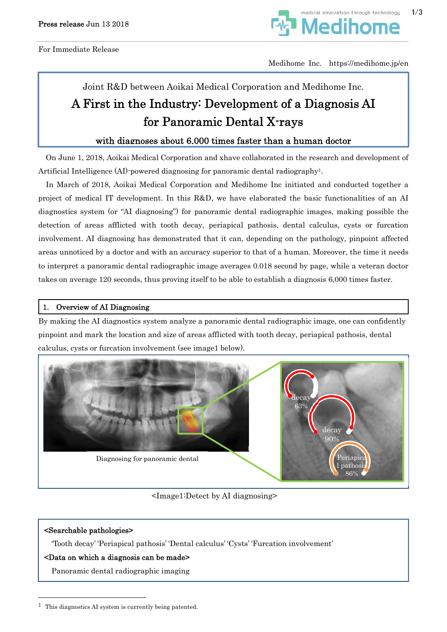

Medihome Inc. https://medihome.jp/en

# Joint R&D between Aoikai Medical Corporation and Medihome Inc. A First in the Industry: Development of a Diagnosis AI for Panoramic Dental X-rays

# with diagnoses about 6,000 times faster than a human doctor

On June 1, 2018, Aoikai Medical Corporation and xhave collaborated in the research and development of Artificial Intelligence (AI)-powered diagnosing for panoramic dental radiography1.

In March of 2018, Aoikai Medical Corporation and Medihome Inc initiated and conducted together a project of medical IT development. In this R&D, we have elaborated the basic functionalities of an AI diagnostics system (or "AI diagnosing") for panoramic dental radiographic images, making possible the detection of areas afflicted with tooth decay, periapical pathosis, dental calculus, cysts or furcation involvement. AI diagnosing has demonstrated that it can, depending on the pathology, pinpoint affected areas unnoticed by a doctor and with an accuracy superior to that of a human. Moreover, the time it needs to interpret a panoramic dental radiographic image averages 0.018 second by page, while a veteran doctor takes on average 120 seconds, thus proving itself to be able to establish a diagnosis 6,000 times faster.

## 1. Overview of AI Diagnosing

By making the AI diagnostics system analyze a panoramic dental radiographic image, one can confidently pinpoint and mark the location and size of areas afflicted with tooth decay, periapical pathosis, dental calculus, cysts or furcation involvement (see image1 below).



<Image1:Detect by AI diagnosing>

## <Searchable pathologies>

 $\overline{a}$ 

'Tooth decay' 'Periapical pathosis' 'Dental calculus' 'Cysts' 'Furcation involvement'

## <Data on which a diagnosis can be made>

Panoramic dental radiographic imaging

<sup>&</sup>lt;sup>1</sup> This diagnostics AI system is currently being patented.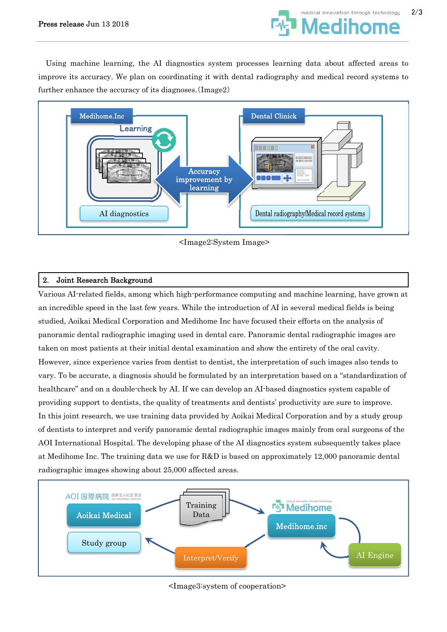

Using machine learning, the AI diagnostics system processes learning data about affected areas to improve its accuracy. We plan on coordinating it with dental radiography and medical record systems to further enhance the accuracy of its diagnoses.(Image2)



<Image2:System Image>

# 2. Joint Research Background

Various AI-related fields, among which high-performance computing and machine learning, have grown at an incredible speed in the last few years. While the introduction of AI in several medical fields is being studied, Aoikai Medical Corporation and Medihome Inc have focused their efforts on the analysis of panoramic dental radiographic imaging used in dental care. Panoramic dental radiographic images are taken on most patients at their initial dental examination and show the entirety of the oral cavity. However, since experience varies from dentist to dentist, the interpretation of such images also tends to vary. To be accurate, a diagnosis should be formulated by an interpretation based on a "standardization of healthcare" and on a double-check by AI. If we can develop an AI-based diagnostics system capable of providing support to dentists, the quality of treatments and dentists' productivity are sure to improve. In this joint research, we use training data provided by Aoikai Medical Corporation and by a study group of dentists to interpret and verify panoramic dental radiographic images mainly from oral surgeons of the AOI International Hospital. The developing phase of the AI diagnostics system subsequently takes place at Medihome Inc. The training data we use for R&D is based on approximately 12,000 panoramic dental radiographic images showing about 25,000 affected areas.



<Image3:system of cooperation>